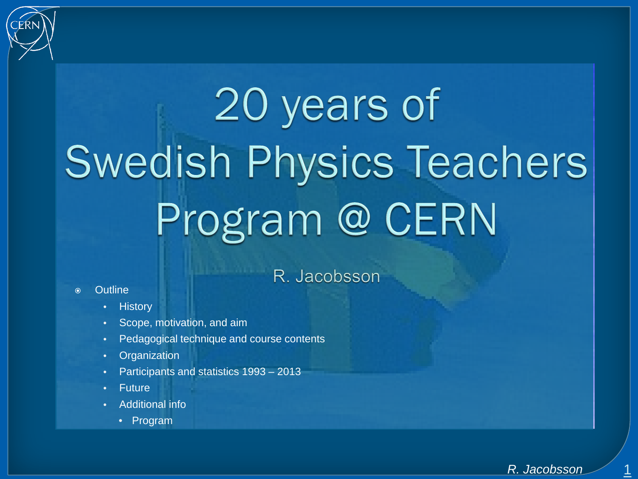

# 20 years of **Swedish Physics Teachers** Program @ CERN

### R. Jacobsson

#### Outline

- **History**
- Scope, motivation, and aim
- Pedagogical technique and course contents
- **Organization**
- Participants and statistics 1993 2013
- **Future**
- Additional info
	- Program

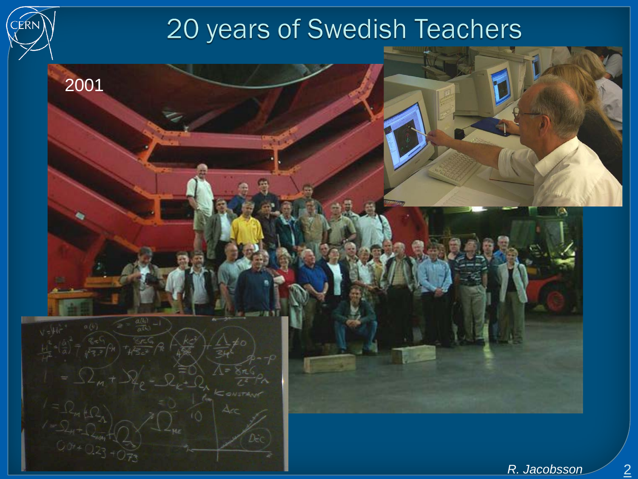# 20 years of Swedish Teachers

:ER

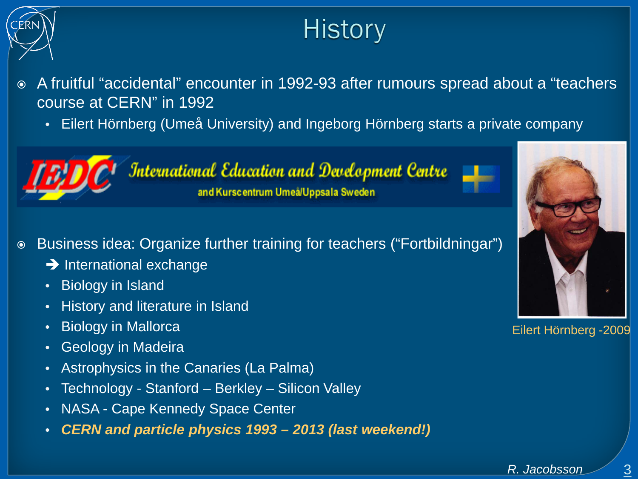

# **History**

 A fruitful "accidental" encounter in 1992-93 after rumours spread about a "teachers course at CERN" in 1992

• Eilert Hörnberg (Umeå University) and Ingeborg Hörnberg starts a private company



**International Education and Development Centre** and Kurscentrum Umeå/Uppsala Sweden

- Business idea: Organize further training for teachers ("Fortbildningar")
	- $\rightarrow$  International exchange
	- Biology in Island
	- History and literature in Island
	- Biology in Mallorca
	- Geology in Madeira
	- Astrophysics in the Canaries (La Palma)
	- Technology Stanford Berkley Silicon Valley
	- NASA Cape Kennedy Space Center
	- *CERN and particle physics 1993 – 2013 (last weekend!)*



Eilert Hörnberg -2009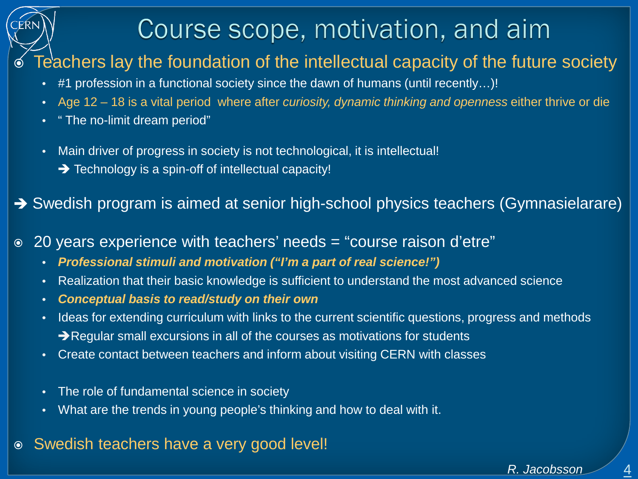# Course scope, motivation, and aim

### Teachers lay the foundation of the intellectual capacity of the future society

- #1 profession in a functional society since the dawn of humans (until recently…)!
- Age 12 18 is a vital period where after *curiosity, dynamic thinking and openness* either thrive or die
- " The no-limit dream period"
- Main driver of progress in society is not technological, it is intellectual!  $\rightarrow$  Technology is a spin-off of intellectual capacity!

→ Swedish program is aimed at senior high-school physics teachers (Gymnasielarare)

- 20 years experience with teachers' needs = "course raison d'etre"
	- *Professional stimuli and motivation ("I'm a part of real science!")*
	- Realization that their basic knowledge is sufficient to understand the most advanced science
	- *Conceptual basis to read/study on their own*
	- Ideas for extending curriculum with links to the current scientific questions, progress and methods Regular small excursions in all of the courses as motivations for students
	- Create contact between teachers and inform about visiting CERN with classes
	- The role of fundamental science in society
	- What are the trends in young people's thinking and how to deal with it.
- Swedish teachers have a very good level!

 $\overline{4}$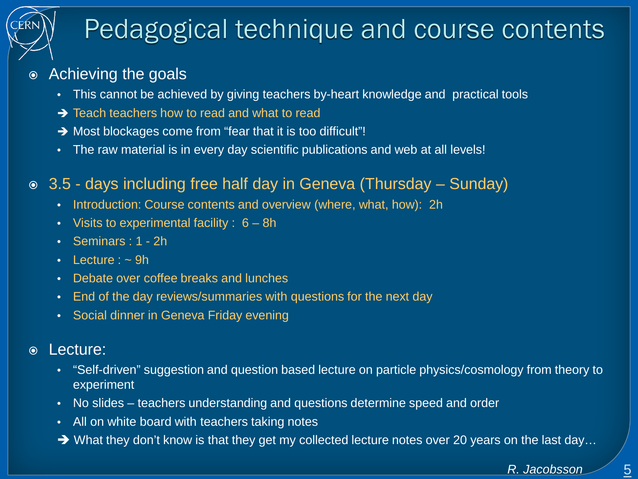# Pedagogical technique and course contents

### Achieving the goals

- This cannot be achieved by giving teachers by-heart knowledge and practical tools
- $\rightarrow$  Teach teachers how to read and what to read
- $\rightarrow$  Most blockages come from "fear that it is too difficult"!
- The raw material is in every day scientific publications and web at all levels!
- 3.5 days including free half day in Geneva (Thursday Sunday)
	- Introduction: Course contents and overview (where, what, how): 2h
	- Visits to experimental facility : 6 8h
	- Seminars : 1 2h
	- Lecture  $:$   $\sim$  9h
	- Debate over coffee breaks and lunches
	- End of the day reviews/summaries with questions for the next day
	- Social dinner in Geneva Friday evening

#### Lecture:

- "Self-driven" suggestion and question based lecture on particle physics/cosmology from theory to experiment
- No slides teachers understanding and questions determine speed and order
- All on white board with teachers taking notes
- $\rightarrow$  What they don't know is that they get my collected lecture notes over 20 years on the last day...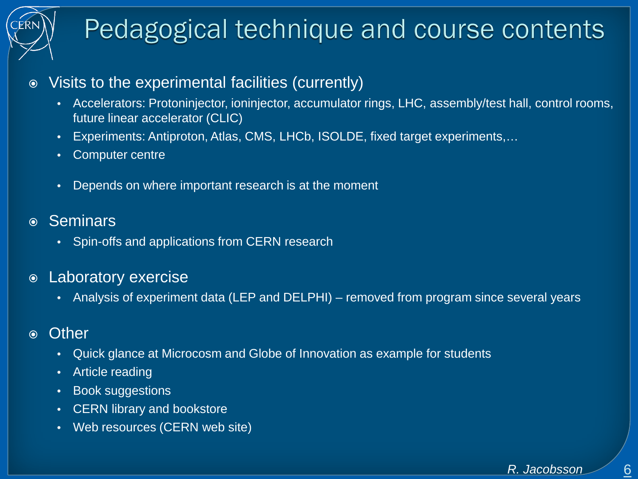# Pedagogical technique and course contents

#### Visits to the experimental facilities (currently)

- Accelerators: Protoninjector, ioninjector, accumulator rings, LHC, assembly/test hall, control rooms, future linear accelerator (CLIC)
- Experiments: Antiproton, Atlas, CMS, LHCb, ISOLDE, fixed target experiments,…
- Computer centre
- Depends on where important research is at the moment
- Seminars
	- Spin-offs and applications from CERN research
- Laboratory exercise
	- Analysis of experiment data (LEP and DELPHI) removed from program since several years
- Other
	- Quick glance at Microcosm and Globe of Innovation as example for students
	- Article reading
	- Book suggestions
	- CERN library and bookstore
	- Web resources (CERN web site)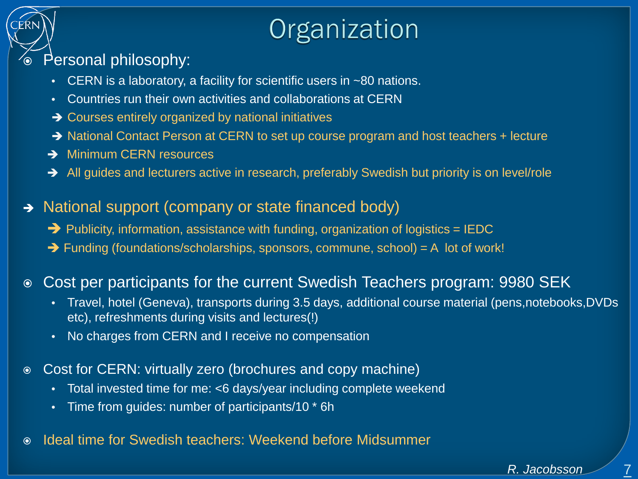# Organization

#### Personal philosophy:

- CERN is a laboratory, a facility for scientific users in ~80 nations.
- Countries run their own activities and collaborations at CERN
- $\rightarrow$  Courses entirely organized by national initiatives
- → National Contact Person at CERN to set up course program and host teachers + lecture
- **→ Minimum CERN resources**
- All guides and lecturers active in research, preferably Swedish but priority is on level/role
- → National support (company or state financed body)
	- $\rightarrow$  Publicity, information, assistance with funding, organization of logistics = IEDC
	- $\rightarrow$  Funding (foundations/scholarships, sponsors, commune, school) = A lot of work!

#### Cost per participants for the current Swedish Teachers program: 9980 SEK

- Travel, hotel (Geneva), transports during 3.5 days, additional course material (pens,notebooks,DVDs etc), refreshments during visits and lectures(!)
- No charges from CERN and I receive no compensation
- Cost for CERN: virtually zero (brochures and copy machine)
	- Total invested time for me: <6 days/year including complete weekend
	- Time from guides: number of participants/10 \* 6h
- Ideal time for Swedish teachers: Weekend before Midsummer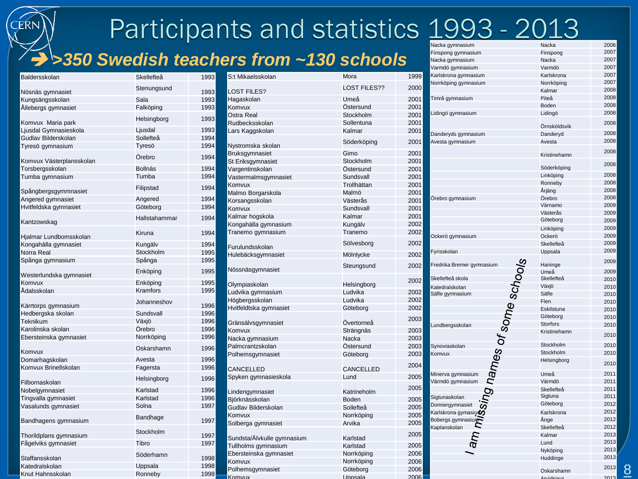# Participants and statistics 1993 - 2013

### *>350 Swedish teachers from ~130 schools*

| Baldersskolan            | Skellefteå     | 1993 | S:t Mikaelsskolan          | Mora                | 1999 | $1.000$ generations.<br>Karlskrona gymnasium    |
|--------------------------|----------------|------|----------------------------|---------------------|------|-------------------------------------------------|
|                          |                |      |                            |                     |      | Vorrköping gymnasium                            |
| Nösnäs gymnasiet         | Stenungsund    | 1993 | <b>LOST FILES?</b>         | <b>LOST FILES??</b> | 2000 |                                                 |
| Kungsängsskolan          | Sala           | 1993 | Hagaskolan                 | Umeå                | 2001 | Timrå gymnasium                                 |
| Allebergs gymnasiet      | Falköping      | 1993 | Komvux                     | Östersund           | 2001 |                                                 |
|                          | Helsingborg    | 1993 | Ostra Real                 | Stockholm           | 2001 | Lidingö gymnasium                               |
| Komvux Maria park        |                |      | Rudbecksskolan             | Sollentuna          | 2001 |                                                 |
| Ljusdal Gymnasieskola    | Ljusdal        | 1993 | Lars Kaggskolan            | Kalmar              | 2001 | Danderyds gymnasium                             |
| Gudlav Bilderskolan      | Sollefteå      | 1994 |                            | Söderköping         | 2001 | Avesta gymnasium                                |
| Tyresö gymnasium         | Tyresö         | 1994 | Nystromska skolan          |                     |      |                                                 |
|                          | Örebro         | 1994 | Bruksgymnasiet             | Gimo                | 2001 |                                                 |
| Komvux Västerplansskolan |                |      | St Eriksgymnasiet          | Stockholm           | 2001 |                                                 |
| Torsbergsskolan          | <b>Bollnäs</b> | 1994 | Vargentinskolan            | Östersund           | 2001 |                                                 |
| Tumba gymnasium          | Tumba          | 1994 | Vastermalmsgymnasiet       | Sundsvall           | 2001 |                                                 |
|                          | Filipstad      | 1994 | Komvux                     | Trollhättan         | 2001 |                                                 |
| Spångbergsgymmnasiet     | Angered        | 1994 | Malmo Borgarskola          | Malmö               | 2001 | Örebro gymnasium                                |
| Angered gymnasiet        |                |      | Korsangsskolan             | Västerås            | 2001 |                                                 |
| Hvitfeldska gymnasiet    | Göteborg       | 1994 | Komvux                     | Sundsvall           | 2001 |                                                 |
| Kantzowskag              | Hallstahammar  | 1994 | Kalmar hogskola            | Kalmar              | 2001 |                                                 |
|                          |                |      | Kongahälla gymnasium       | Kungälv             | 2002 |                                                 |
| Hjalmar Lundbomsskolan   | Kiruna         | 1994 | Tranemo gymnasium          | Tranemo             | 2002 | Ockerö gymnasium                                |
| Kongahälla gymnasiet     | Kungälv        | 1994 |                            | Sölvesborg          | 2002 |                                                 |
| Norra Real               | Stockholm      | 1995 | Furulundsskolan            |                     |      | Fyrisskolan                                     |
| Spånga gymnasium         | Spånga         | 1995 | Hulebäcksgymnasiet         | Mölnlycke           | 2002 |                                                 |
|                          |                |      | Nössnäsgymnasiet           | Steungsund          | 2002 | Fredrika Bremer gymnasium                       |
| Westerlundska gymnasiet  | Enköping       | 1995 |                            |                     |      |                                                 |
| Komvux                   | Enköping       | 1995 | Olympiaskolan              | Helsingborg         | 2002 | Skellefteå skola                                |
| Adalsskolan              | Kramfors       | 1995 | Ludvika gymnasium          | Ludvika             | 2002 | Katedralskolan                                  |
|                          |                |      | Högbergsskolan             | Ludvika             | 2002 | Säfle gymnasium                                 |
| Kärrtorps gymnasium      | Johanneshov    | 1996 | Hvitfeldtska gymnasiet     | Göteborg            | 2002 |                                                 |
| Hedbergska skolan        | Sundsvall      | 1996 |                            |                     |      | names of some sohow.                            |
| Teknikum                 | Växjö          | 1996 | Gränsälvsgymnasiet         | Övertorneå          | 2003 | undbergsskolan                                  |
| Karolinska skolan        | Örebro         | 1996 | Komvux                     | Strängnäs           | 2003 |                                                 |
| Ebersteinska gymnasiet   | Norrköping     | 1996 | Nacka gymnasium            | Nacka               | 2003 |                                                 |
|                          | Oskarshamn     | 1996 | Palmcrantzskolan           | Östersund           | 2003 | Synoviaskolan                                   |
| Komvux                   |                |      | Polhemsgymnasiet           | Göteborg            | 2003 | Komvux                                          |
| Domarhagskolan           | Avesta         | 1996 |                            |                     |      |                                                 |
| Komvux Brinellskolan     | Fagersta       | 1996 | CANCELLED                  | <b>CANCELLED</b>    | 2004 |                                                 |
|                          | Helsingborg    | 1996 | Spyken gymnasieskola       | Lund                | 2005 | Minerva gymnasium<br>Värmdö gymnasium           |
| Filbornaskolan           |                |      |                            |                     | 2005 |                                                 |
| Nobelgymnasiet           | Karlstad       | 1996 | Lindengymnasiet            | Katrineholm         |      |                                                 |
| Tingvalla gymnasiet      | Karlstad       | 1996 | Björknässkolan             | Boden               | 2005 | <b>Sing</b><br>Sigtunaskolan<br>Donnergymnasiet |
| Vasalunds gymnasiet      | Solna          | 1997 | Gudlav Bilderskolan        | Sollefteå           | 2005 | Karlskrona gymasiunの                            |
|                          | Bandhage       |      | Komvux                     | Norrköping          | 2005 |                                                 |
| Bandhagens gymnasium     |                | 1997 | Solberga gymnasiet         | Arvika              | 2005 | Bobergs gymnasium<br>Kaplanskolan               |
| Thorildplans gymnasium   | Stockholm      | 1997 |                            |                     | 2005 |                                                 |
| Fågelviks gymnasiet      | Tibro          | 1997 | Sundsta/Älvkulle gymnasium | Karlstad            |      | am                                              |
|                          |                |      | Tullholms gymnasium        | Karlstad            | 2005 |                                                 |
| Staffansskolan           | Söderhamn      | 1998 | Ebersteinska gymnasiet     | Norrköping          | 2006 |                                                 |
| Katedralskolan           | Uppsala        | 1998 | Komvux                     | Norrköping          | 2006 |                                                 |
| Knut Hahnsskolan         | Ronneby        | 1998 | Polhemsgymnasiet           | Göteborg            | 2006 |                                                 |
|                          |                |      | Komvux                     | Unnsala             | 2006 |                                                 |

| rvacka gymnasium             | маска           | zuub |
|------------------------------|-----------------|------|
| Finspong gymnasium           | Finspong        | 2007 |
| Nacka gymnasium              | Nacka           | 2007 |
| Varmdö gymnasium             | Varmdö          | 2007 |
| Karlskrona gymnasium         | Karlskrona      | 2007 |
| Norrköping gymnasium         | Norrköping      | 2007 |
|                              | Kalmar          | 2008 |
| Timrå gymnasium              | Piteå           | 2008 |
|                              |                 | 2008 |
|                              | Boden           | 2008 |
| Lidingö gymnasium            | Lidingö         |      |
|                              | Örnsköldsvik    | 2008 |
| Danderyds gymnasium          | Danderyd        | 2008 |
|                              | Avesta          | 2008 |
| Avesta gymnasium             |                 |      |
|                              | Kristinehamn    | 2008 |
|                              |                 | 2008 |
|                              | Söderköping     |      |
|                              | Linköping       | 2008 |
|                              | Ronneby         | 2008 |
|                              | Årjäng          | 2008 |
| Orebro gymnasium             | Örebro          | 2008 |
|                              | Värnamo         | 2009 |
|                              | Västerås        | 2009 |
|                              | Göteborg        | 2009 |
|                              | Linköping       | 2009 |
| Ockerö gymnasium             | Ockerö          | 2009 |
|                              | Skellefteå      | 2009 |
| Fyrisskolan                  | Uppsala         | 2009 |
|                              |                 | 2009 |
| Fredrika Bremer gymnasium    | Haninge         |      |
|                              | Umeå            | 2009 |
| Skellefteå skola             | Skellefteå      | 2010 |
| Katedralskolan               | Växjö           | 2010 |
| Säfle gymnasium              | Säfle           | 2010 |
|                              | Flen            | 2010 |
|                              | Eskilstuna      | 2010 |
|                              | Göteborg        | 2010 |
| Lundbergsskolan              | <b>Storfors</b> | 2010 |
|                              | Kristinehamn    | 2010 |
| Synoviaskolan                | Stockholm       | 2010 |
| Komvux                       | Stockholm       | 2010 |
| g names of some schools      | Helsingborg     | 2010 |
| Minerva gymnasium            | Umeå            | 2011 |
| Värmdö gymnasium             | Värmdö          | 2011 |
|                              |                 | 2011 |
|                              | Skellefteå      |      |
| Sigtunaskolan                | Sigtuna         | 2011 |
| Donnergymnasiet              | Göteborg        | 2012 |
| Karlskrona gymasiur <b>ó</b> | Karlskrona      | 2012 |
| Bobergs gymnasium            | Ange            | 2012 |
| Kaplanskolan                 | Skellefteå      | 2012 |
|                              | Kalmar          | 2013 |
|                              | Lund            | 2013 |
|                              | Nyköping        | 2013 |
|                              | Huddinge        | 2013 |
|                              | Oskarshamn      | 2013 |
|                              | nideiou         | 2013 |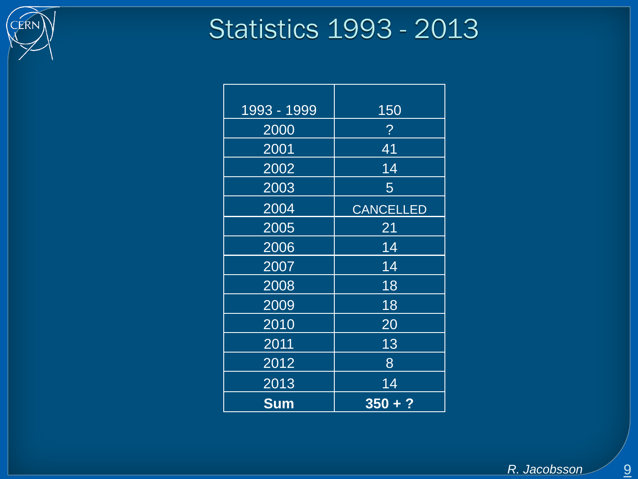

# **Statistics 1993 - 2013**

| 1993 - 1999 | 150              |
|-------------|------------------|
| 2000        | $\overline{?}$   |
| 2001        | 41               |
| 2002        | 14               |
| 2003        | 5                |
| 2004        | <b>CANCELLED</b> |
| 2005        | 21               |
| 2006        | 14               |
| 2007        | 14               |
| 2008        | 18               |
| 2009        | 18               |
| 2010        | 20               |
| 2011        | 13               |
| 2012        | 8                |
| 2013        | 14               |
| <b>Sum</b>  | $350 + ?$        |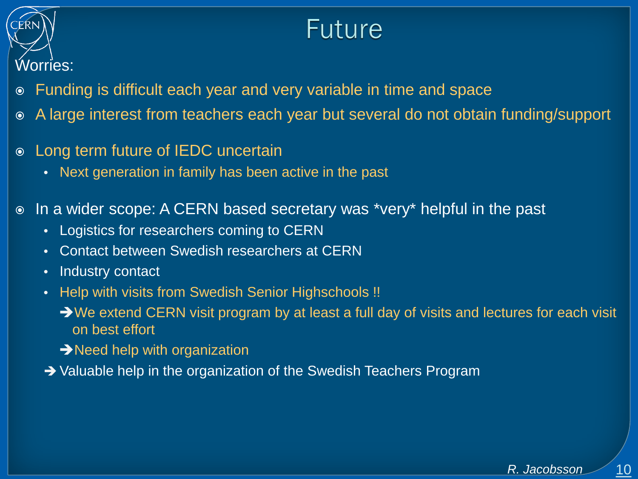

### Future

- Funding is difficult each year and very variable in time and space
- A large interest from teachers each year but several do not obtain funding/support
- Long term future of IEDC uncertain
	- Next generation in family has been active in the past
- In a wider scope: A CERN based secretary was \*very\* helpful in the past
	- Logistics for researchers coming to CERN
	- Contact between Swedish researchers at CERN
	- Industry contact
	- Help with visits from Swedish Senior Highschools !!
		- We extend CERN visit program by at least a full day of visits and lectures for each visit on best effort
		- $\rightarrow$  Need help with organization
	- → Valuable help in the organization of the Swedish Teachers Program

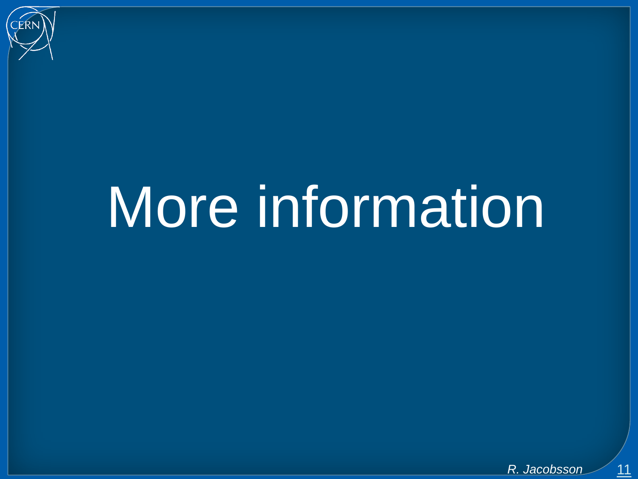

# More information

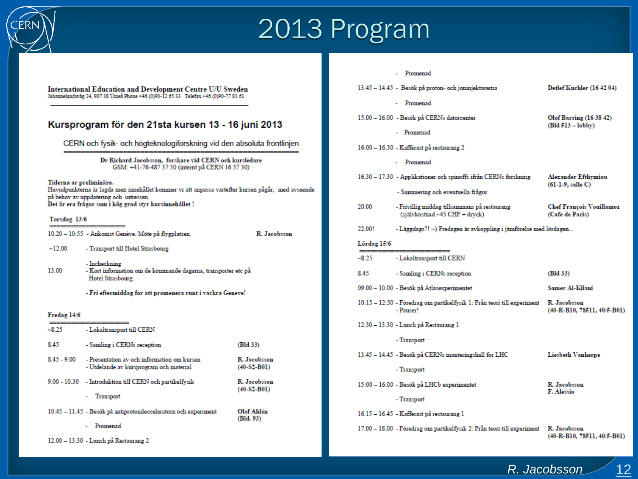

## 2013 Program

#### $\begin{minipage}[c]{0.9\linewidth} \textbf{International Education and Development Centre U/U Sweden} \textbf{Johannelundsväg 24, 907 38 Umeä Phone +46 (0)90-12 65 33} \textbf{ Telefax +46 (0)90-77 81 61} \end{minipage}$

#### Kursprogram för den 21sta kursen 13 - 16 juni 2013

CERN och fysik- och högteknologiforskning vid den absoluta frontlinjen

Dr Richard Jacobsson, forskare vid CERN och kursledare GSM: +41-76-487 37 30 (internt på CERN 16 37 30)

Tiderna ar preliminära.

Huvudpunkterna är lagda men innehållet kommer vi att anpassa vartefter kursen pågår, med avseende på behov av uppdatering och intressen. Det är era frågor som i hög grad styr kursinnehållet!

#### Torsdag 13/6

10.20 - 10:55 - Ankomst Genève. Möte på flygplatsen.

R. Jacobsson

- $~12.00$ - Transport till Hotel Strasbourg
- Incheckning 13.00 - Kort information om de kommande dagarna, transporter etc på Hotel Strasbourg.
	- Fri eftermiddag for att promenera runt i vackra Geneve!

#### Fredag 14/6

| $-8.25$       | - Lokaltransport till CERN                                                             |                               |
|---------------|----------------------------------------------------------------------------------------|-------------------------------|
| 8.45          | - Samling i CERNs reception                                                            | (Bld 33)                      |
| $8.45 - 9.00$ | - Presentation av och information om kursen<br>- Utdelande av kursprogram och material | R. Jacobsson<br>$(40-S2-B01)$ |
|               | 9.00 - 10.30 - Introduktion till CERN och partikelfysik<br>Transport                   | R. Jacobsson<br>$(40-S2-B01)$ |
|               | 10.45 - 11.45 - Besök på antiprotondecceleratorn och experiment<br>Promenad            | Olof Ahlén<br>(Bld. 93)       |

|             | Promenad                                                                             |                                                       |
|-------------|--------------------------------------------------------------------------------------|-------------------------------------------------------|
|             | 13.45 - 14.45 - Besök på proton- och joninjektorerna                                 | Detlef Kuchler (16 42 04)                             |
|             | Promenad                                                                             |                                                       |
|             | 15.00 – 16.00 - Besök på CERNs datorcenter                                           | Olof Barring (16 38 42)<br>$(Bld 513 - \text{lobby})$ |
|             | - Promenad                                                                           |                                                       |
|             | 16:00 - 16.30 - Kafferast på restaurang 2                                            |                                                       |
|             | - Promenad                                                                           |                                                       |
|             | 16.30 – 17.30 - Applikationer och spinoffs ifrån CERNs forskning                     | Alexander Efthymiou<br>$(61-1-9,$ salle C)            |
|             | - Summering och eventuella frågor                                                    |                                                       |
| 20.00       | - Frivillig middag tillsammans på restaurang<br>(självkostnad ~45 CHF + dryck)       | <b>Chef François Vouillamoz</b><br>(Cafe de Paris)    |
| 22.00!      | - Läggdags?! :-) Fredagen är avkoppling i jämförelse med lördagen                    |                                                       |
| Lördag 15/6 |                                                                                      |                                                       |
| $-8.25$     | -----<br>- Lokaltransport till CERN                                                  |                                                       |
| 8.45        | - Samling i CERNs reception                                                          | (Bld 33)                                              |
|             | 09.00 - 10.00 - Besök på Atlasexperimentet                                           | Samer Al-Kilani                                       |
|             | 10:15 – 12:30 - Föredrag om partikelfysik 1: Från teori till experiment<br>- Pauser! | R. Jacobsson<br>$(40-R-B10, 78511, 40/5-B01)$         |
|             | 12.30 - 13.30 - Lunch på Restaurang 1                                                |                                                       |
|             | - Transport                                                                          |                                                       |
|             | 13.45 - 14.45 - Besök på CERNs monteringshall for LHC                                | Liesbeth Vanherpe                                     |
|             | - Transport                                                                          |                                                       |
|             | 15:00 - 16.00 - Besök på LHCb experimentet                                           | R. Jacobsson<br>F. Alessio                            |
|             | - Transport                                                                          |                                                       |
|             | 16.15 – 16.45 - Kafferast på restaurang 1                                            |                                                       |
|             | 17.00 – 18.00 - Föredrag om partikelfysik 2: Från teori till experiment              | R. Jacobsson<br>$(40-R-B10, 78511, 40/5-B01)$         |

12.00 - 13.30 - Lunch på Restaurang 2